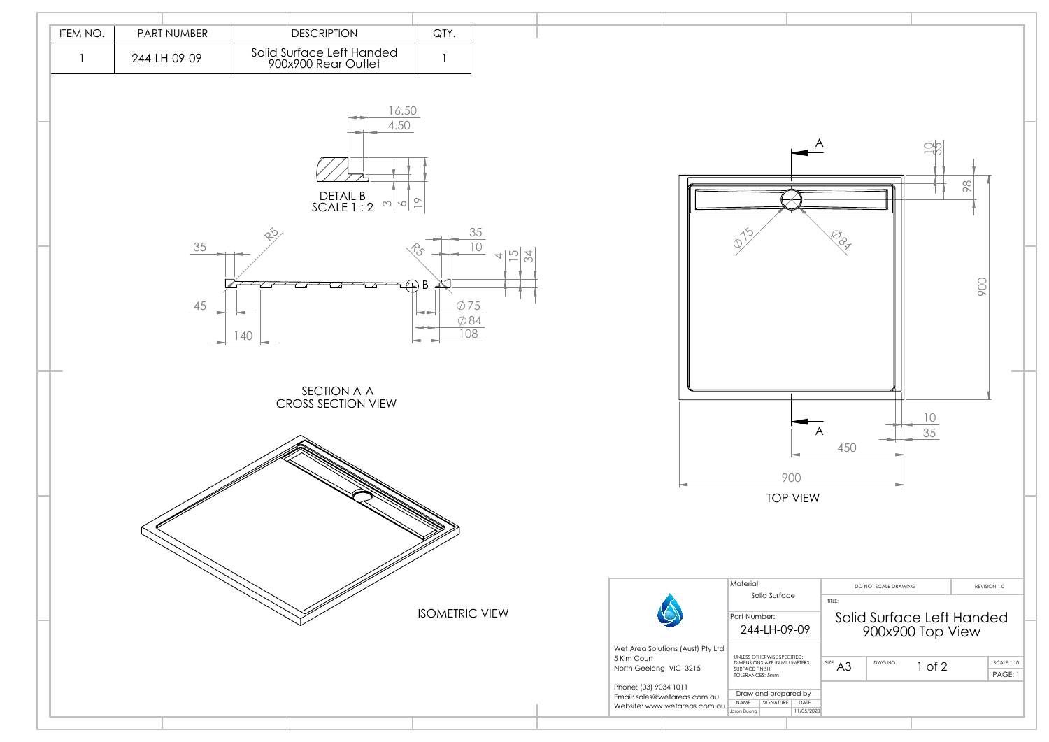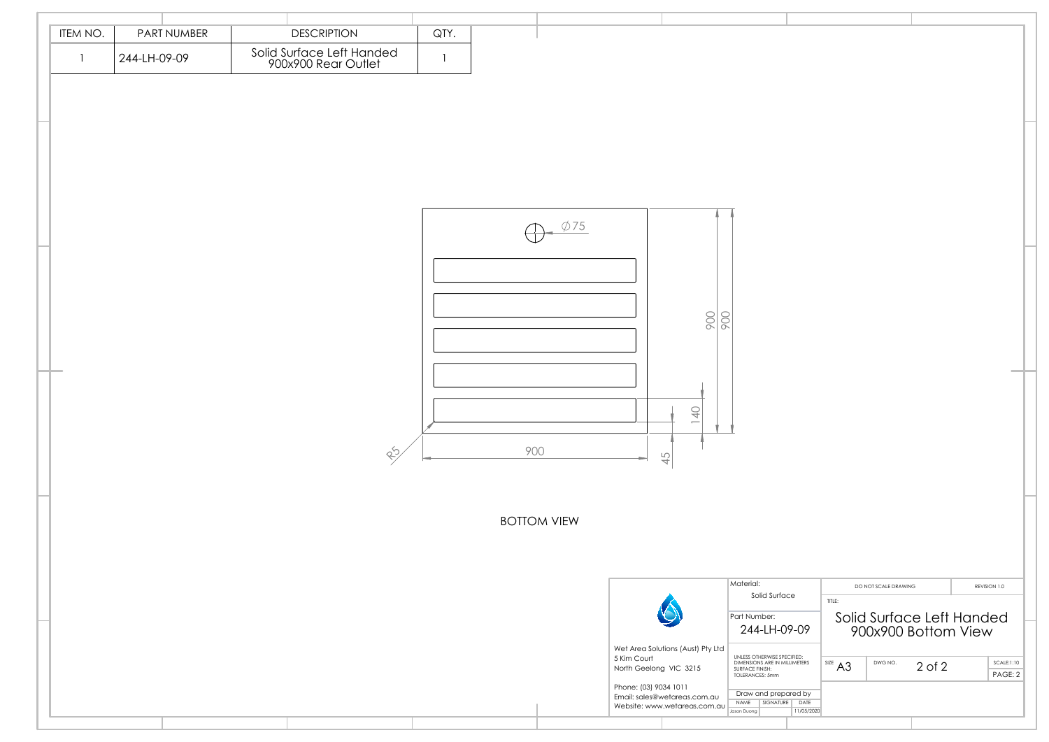

| e                               | DO NOT SCALE DRAWING      |         |            | REVISION 1.0 |                   |  |
|---------------------------------|---------------------------|---------|------------|--------------|-------------------|--|
|                                 | TITLE:                    |         |            |              |                   |  |
|                                 | Solid Surface Left Handed |         |            |              |                   |  |
| ,-09                            | 900x900 Bottom View       |         |            |              |                   |  |
|                                 |                           |         |            |              |                   |  |
| <b>IFIED:</b><br><b>IMETERS</b> | $SIZE$ $A3$               | DWG NO. | $2$ of $2$ |              | <b>SCALE:1:10</b> |  |
|                                 |                           |         |            |              | PAGE: 2           |  |
| ed by                           |                           |         |            |              |                   |  |
| DATE                            |                           |         |            |              |                   |  |
| 11/05/2020                      |                           |         |            |              |                   |  |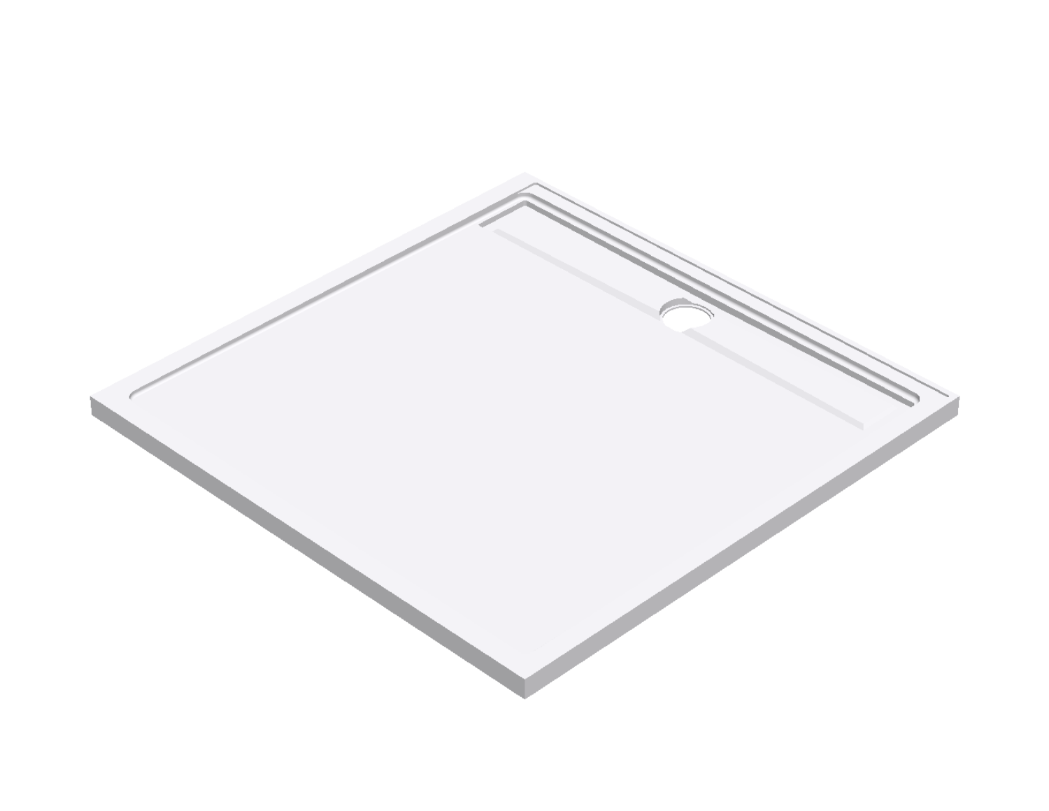